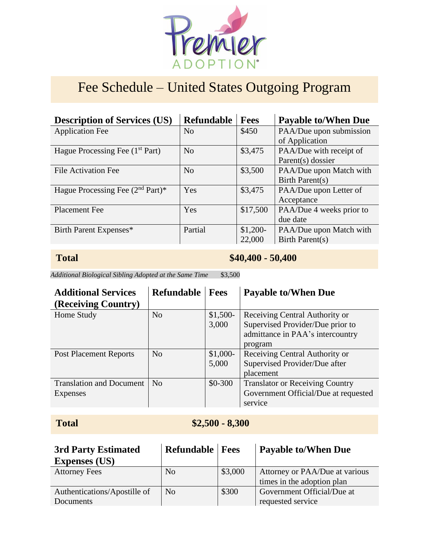

# Fee Schedule – United States Outgoing Program

| <b>Description of Services (US)</b>         | <b>Refundable</b> | <b>Fees</b> | <b>Payable to/When Due</b> |
|---------------------------------------------|-------------------|-------------|----------------------------|
| <b>Application Fee</b>                      | No                | \$450       | PAA/Due upon submission    |
|                                             |                   |             | of Application             |
| Hague Processing Fee (1 <sup>st</sup> Part) | N <sub>o</sub>    | \$3,475     | PAA/Due with receipt of    |
|                                             |                   |             | Parent(s) dossier          |
| File Activation Fee                         | N <sub>o</sub>    | \$3,500     | PAA/Due upon Match with    |
|                                             |                   |             | Birth Parent(s)            |
| Hague Processing Fee $(2nd Part)*$          | Yes               | \$3,475     | PAA/Due upon Letter of     |
|                                             |                   |             | Acceptance                 |
| <b>Placement Fee</b>                        | Yes               | \$17,500    | PAA/Due 4 weeks prior to   |
|                                             |                   |             | due date                   |
| Birth Parent Expenses*                      | Partial           | $$1,200-$   | PAA/Due upon Match with    |
|                                             |                   | 22,000      | Birth Parent(s)            |

## **Total \$40,400 <b>-** 50,400

*Additional Biological Sibling Adopted at the Same Time* \$3,500

| <b>Additional Services</b><br>(Receiving Country) | <b>Refundable</b> | <b>Fees</b> | <b>Payable to/When Due</b>             |
|---------------------------------------------------|-------------------|-------------|----------------------------------------|
| Home Study                                        | N <sub>o</sub>    | $$1,500-$   | Receiving Central Authority or         |
|                                                   |                   | 3,000       | Supervised Provider/Due prior to       |
|                                                   |                   |             | admittance in PAA's intercountry       |
|                                                   |                   |             | program                                |
| <b>Post Placement Reports</b>                     | N <sub>0</sub>    | $$1,000-$   | Receiving Central Authority or         |
|                                                   |                   | 5,000       | Supervised Provider/Due after          |
|                                                   |                   |             | placement                              |
| <b>Translation and Document</b>                   | No                | $$0-300$    | <b>Translator or Receiving Country</b> |
| Expenses                                          |                   |             | Government Official/Due at requested   |
|                                                   |                   |             | service                                |

# **Total \$2,500 <b>-** 8,300

| 3rd Party Estimated          | <b>Refundable   Fees</b> |         | <b>Payable to/When Due</b>     |
|------------------------------|--------------------------|---------|--------------------------------|
| <b>Expenses (US)</b>         |                          |         |                                |
| <b>Attorney Fees</b>         | No                       | \$3,000 | Attorney or PAA/Due at various |
|                              |                          |         | times in the adoption plan     |
| Authentications/Apostille of | <b>No</b>                | \$300   | Government Official/Due at     |
| Documents                    |                          |         | requested service              |